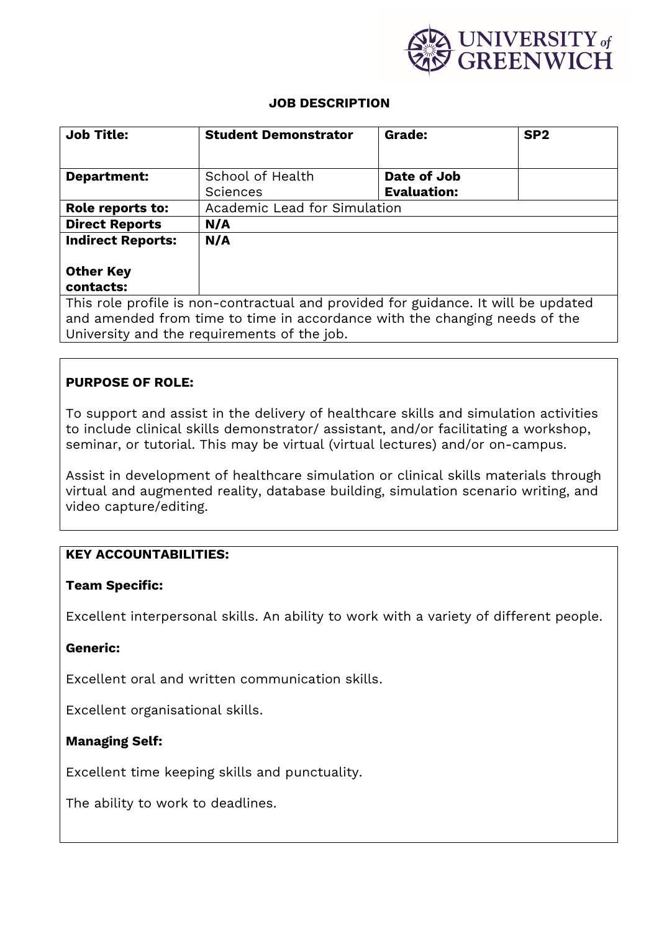

#### **JOB DESCRIPTION**

| <b>Job Title:</b>                                                                  | <b>Student Demonstrator</b>  | Grade:             | SP <sub>2</sub> |
|------------------------------------------------------------------------------------|------------------------------|--------------------|-----------------|
|                                                                                    |                              |                    |                 |
| <b>Department:</b>                                                                 | School of Health             | Date of Job        |                 |
|                                                                                    | <b>Sciences</b>              | <b>Evaluation:</b> |                 |
| Role reports to:                                                                   | Academic Lead for Simulation |                    |                 |
| <b>Direct Reports</b>                                                              | N/A                          |                    |                 |
| <b>Indirect Reports:</b>                                                           | N/A                          |                    |                 |
|                                                                                    |                              |                    |                 |
| <b>Other Key</b>                                                                   |                              |                    |                 |
| contacts:                                                                          |                              |                    |                 |
| This role profile is non-contractual and provided for guidance. It will be updated |                              |                    |                 |
| and amended from time to time in accordance with the changing needs of the         |                              |                    |                 |
| University and the requirements of the job.                                        |                              |                    |                 |

# **PURPOSE OF ROLE:**

To support and assist in the delivery of healthcare skills and simulation activities to include clinical skills demonstrator/ assistant, and/or facilitating a workshop, seminar, or tutorial. This may be virtual (virtual lectures) and/or on-campus.

Assist in development of healthcare simulation or clinical skills materials through virtual and augmented reality, database building, simulation scenario writing, and video capture/editing.

## **KEY ACCOUNTABILITIES:**

#### **Team Specific:**

Excellent interpersonal skills. An ability to work with a variety of different people.

#### **Generic:**

Excellent oral and written communication skills.

Excellent organisational skills.

## **Managing Self:**

Excellent time keeping skills and punctuality.

The ability to work to deadlines.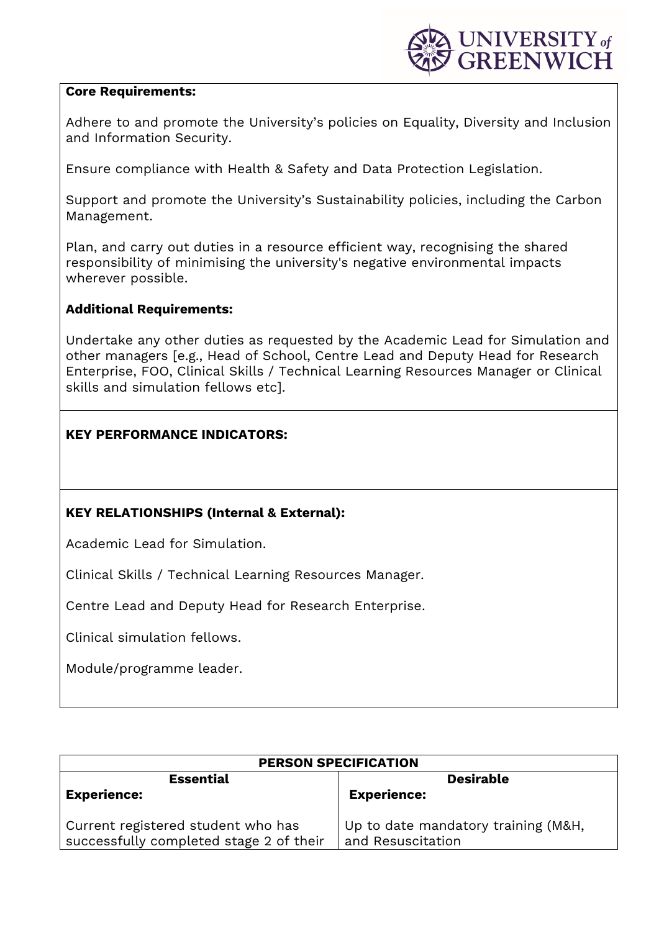

#### **Core Requirements:**

Adhere to and promote the University's policies on Equality, Diversity and Inclusion and Information Security.

Ensure compliance with Health & Safety and Data Protection Legislation.

Support and promote the University's Sustainability policies, including the Carbon Management.

Plan, and carry out duties in a resource efficient way, recognising the shared responsibility of minimising the university's negative environmental impacts wherever possible.

### **Additional Requirements:**

Undertake any other duties as requested by the Academic Lead for Simulation and other managers [e.g., Head of School, Centre Lead and Deputy Head for Research Enterprise, FOO, Clinical Skills / Technical Learning Resources Manager or Clinical skills and simulation fellows etc].

## **KEY PERFORMANCE INDICATORS:**

## **KEY RELATIONSHIPS (Internal & External):**

Academic Lead for Simulation.

Clinical Skills / Technical Learning Resources Manager.

Centre Lead and Deputy Head for Research Enterprise.

Clinical simulation fellows.

Module/programme leader.

| <b>PERSON SPECIFICATION</b>                                                   |                                                          |  |  |
|-------------------------------------------------------------------------------|----------------------------------------------------------|--|--|
| <b>Essential</b>                                                              | <b>Desirable</b>                                         |  |  |
| <b>Experience:</b>                                                            | <b>Experience:</b>                                       |  |  |
| Current registered student who has<br>successfully completed stage 2 of their | Up to date mandatory training (M&H,<br>and Resuscitation |  |  |